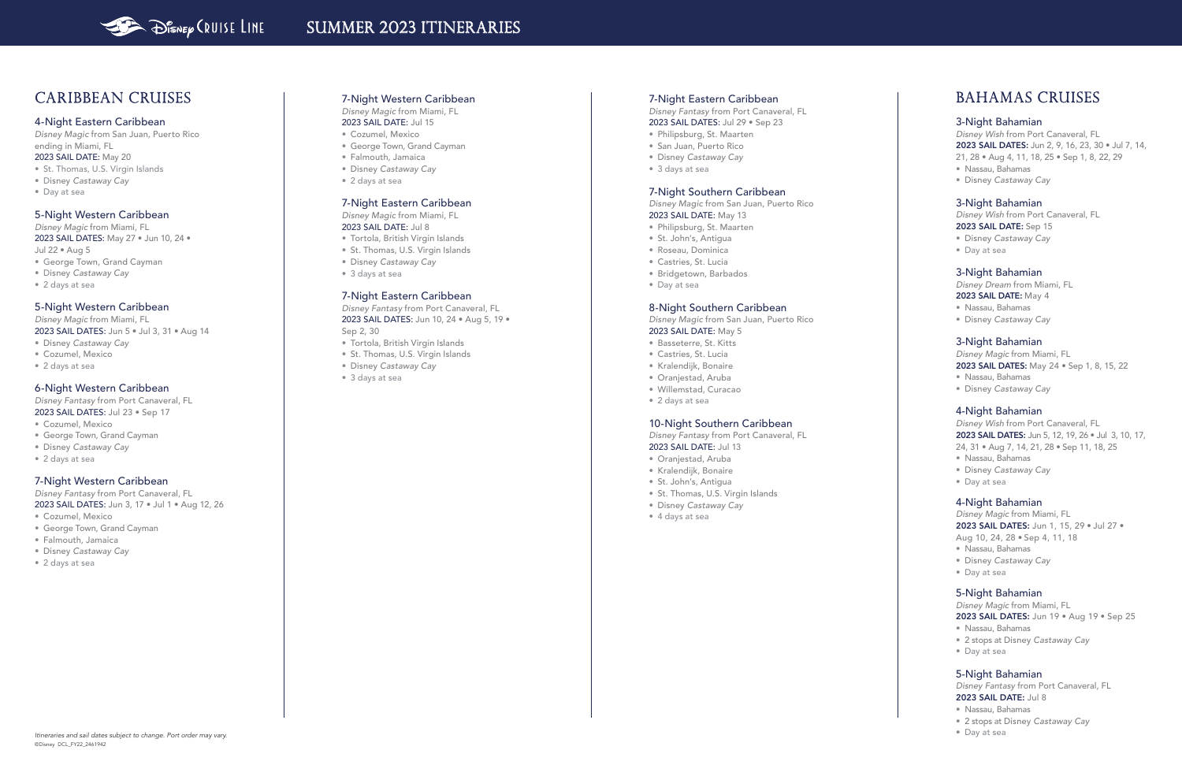### 7-Night Western Caribbean

*Disney Magic* from Miami, FL

- 2023 SAIL DATE: Jul 15
- Cozumel, Mexico
- George Town, Grand Cayman
- Falmouth, Jamaica
- Disney *Castaway Cay*
- 2 days at sea

## 7-Night Eastern Caribbean

*Disney Magic* from Miami, FL 2023 SAIL DATE: Jul 8

- Tortola, British Virgin Islands • St. Thomas, U.S. Virgin Islands
- Disney *Castaway Cay*
- 3 days at sea

7-Night Eastern Caribbean *Disney Fantasy* from Port Canaveral, FL 2023 SAIL DATES: Jun 10, 24 • Aug 5, 19 • Sep 2, 30

- Tortola, British Virgin Islands
- St. Thomas, U.S. Virgin Islands
- Disney *Castaway Cay*
- 3 days at sea

### 7-Night Eastern Caribbean

*Disney Fantasy* from Port Canaveral, FL 2023 SAIL DATES: Jul 29 • Sep 23

- Philipsburg, St. Maarten
- San Juan, Puerto Rico
- Disney *Castaway Cay*
- 3 days at sea

## 7-Night Southern Caribbean

*Disney Magic* from San Juan, Puerto Rico 2023 SAIL DATE: May 13

- Philipsburg, St. Maarten
- St. John's, Antigua
- Roseau, Dominica
- Castries, St. Lucia
- Bridgetown, Barbados
- Day at sea

### 8-Night Southern Caribbean

*Disney Magic* from San Juan, Puerto Rico 2023 SAIL DATE: May 5

- Basseterre, St. Kitts
- Castries, St. Lucia
- Kralendijk, Bonaire
- Oranjestad, Aruba
- Willemstad, Curacao
- 2 days at sea

### 10-Night Southern Caribbean

*Disney Fantasy* from Port Canaveral, FL 2023 SAIL DATE: Jul 13

- Oranjestad, Aruba
- Kralendijk, Bonaire
- St. John's, Antigua
- St. Thomas, U.S. Virgin Islands
- Disney *Castaway Cay*
- 4 days at sea

# SUMMER 2023 ITINERARIES

# Caribbean Cruises

### 4-Night Eastern Caribbean

*Disney Magic* from San Juan, Puerto Rico ending in Miami, FL 2023 SAIL DATE: May 20

- St. Thomas, U.S. Virgin Islands
- Disney *Castaway Cay*
- Day at sea

## 5-Night Western Caribbean

Disney Magic from Miami, FL 2023 SAIL DATES: May 27 • Jun 10, 24 • Jul 22 • Aug 5

- George Town, Grand Cayman
- Disney *Castaway Cay*
- 
- 2 days at sea

# 5-Night Western Caribbean

Disney Magic from Miami, FL

2023 SAIL DATES: Jun 5 • Jul 3, 31 • Aug 14

- Disney *Castaway Cay*
- Cozumel, Mexico
- 2 days at sea

# 6-Night Western Caribbean

*Disney Fantasy* from Port Canaveral, FL 2023 SAIL DATES: Jul 23 • Sep 17

- Cozumel, Mexico
- George Town, Grand Cayman
- Disney *Castaway Cay*
- 2 days at sea

### 7-Night Western Caribbean

*Disney Fantasy* from Port Canaveral, FL 2023 SAIL DATES: Jun 3, 17 • Jul 1 • Aug 12, 26

- Cozumel, Mexico
- George Town, Grand Cayman
- Falmouth, Jamaica
- Disney *Castaway Cay*
- 2 days at sea

# BAHAMAS Cruises

### 3-Night Bahamian

Disney Wish from Port Canaveral, FL 2023 SAIL DATES: Jun 2, 9, 16, 23, 30 • Jul 7, 14, 21, 28 • Aug 4, 11, 18, 25 • Sep 1, 8, 22, 29

- Nassau, Bahamas
- Disney *Castaway Cay*

# 3-Night Bahamian

Disney Wish from Port Canaveral, FL 2023 SAIL DATE: Sep 15

- Disney *Castaway Cay*
- Day at sea

## 3-Night Bahamian

Disney Dream from Miami, FL

- 2023 SAIL DATE: May 4
- Nassau, Bahamas
- Disney *Castaway Cay*

### 3-Night Bahamian

Disney Magic from Miami, FL

2023 SAIL DATES: May 24 • Sep 1, 8, 15, 22

- Nassau, Bahamas
- Disney *Castaway Cay*

## 4-Night Bahamian

Disney Wish from Port Canaveral, FL 2023 SAIL DATES: Jun 5, 12, 19, 26 · Jul 3, 10, 17, 24, 31 • Aug 7, 14, 21, 28 • Sep 11, 18, 25

- Nassau, Bahamas
- Disney *Castaway Cay*
- Day at sea

### 4-Night Bahamian

Disney Magic from Miami, FL 2023 SAIL DATES: Jun 1, 15, 29 · Jul 27 · Aug 10, 24, 28 • Sep 4, 11, 18

- Nassau, Bahamas
- Disney *Castaway Cay*
- Day at sea

#### 5-Night Bahamian

Disney Magic from Miami, FL

2023 SAIL DATES: Jun 19 · Aug 19 · Sep 25

- Nassau, Bahamas
- 2 stops at Disney *Castaway Cay*
- Day at sea

## 5-Night Bahamian

*Disney Fantasy* from Port Canaveral, FL 2023 SAIL DATE: Jul 8

- Nassau, Bahamas
- 2 stops at Disney *Castaway Cay*
-